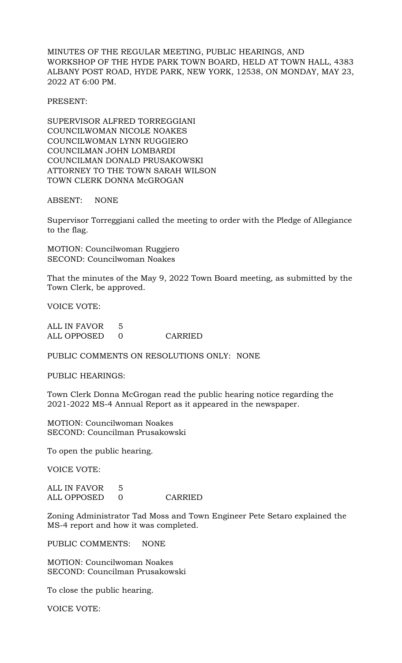MINUTES OF THE REGULAR MEETING, PUBLIC HEARINGS, AND WORKSHOP OF THE HYDE PARK TOWN BOARD, HELD AT TOWN HALL, 4383 ALBANY POST ROAD, HYDE PARK, NEW YORK, 12538, ON MONDAY, MAY 23, 2022 AT 6:00 PM.

## PRESENT:

SUPERVISOR ALFRED TORREGGIANI COUNCILWOMAN NICOLE NOAKES COUNCILWOMAN LYNN RUGGIERO COUNCILMAN JOHN LOMBARDI COUNCILMAN DONALD PRUSAKOWSKI ATTORNEY TO THE TOWN SARAH WILSON TOWN CLERK DONNA McGROGAN

## ABSENT: NONE

Supervisor Torreggiani called the meeting to order with the Pledge of Allegiance to the flag.

MOTION: Councilwoman Ruggiero SECOND: Councilwoman Noakes

That the minutes of the May 9, 2022 Town Board meeting, as submitted by the Town Clerk, be approved.

VOICE VOTE:

ALL IN FAVOR 5 ALL OPPOSED 0 CARRIED

PUBLIC COMMENTS ON RESOLUTIONS ONLY: NONE

PUBLIC HEARINGS:

Town Clerk Donna McGrogan read the public hearing notice regarding the 2021-2022 MS-4 Annual Report as it appeared in the newspaper.

MOTION: Councilwoman Noakes SECOND: Councilman Prusakowski

To open the public hearing.

VOICE VOTE:

ALL IN FAVOR 5 ALL OPPOSED 0 CARRIED

Zoning Administrator Tad Moss and Town Engineer Pete Setaro explained the MS-4 report and how it was completed.

PUBLIC COMMENTS: NONE

MOTION: Councilwoman Noakes SECOND: Councilman Prusakowski

To close the public hearing.

VOICE VOTE: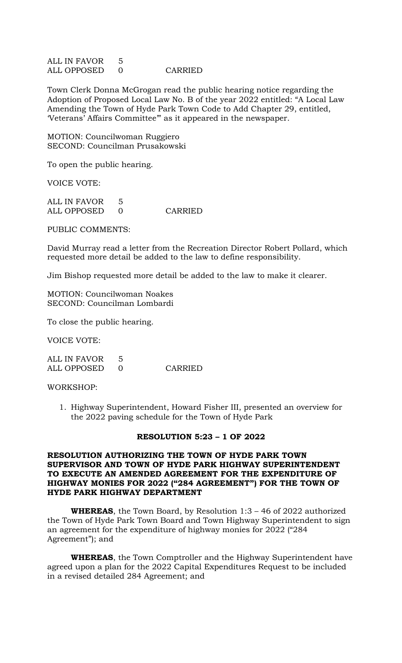ALL IN FAVOR 5 ALL OPPOSED 0 CARRIED

Town Clerk Donna McGrogan read the public hearing notice regarding the Adoption of Proposed Local Law No. B of the year 2022 entitled: "A Local Law Amending the Town of Hyde Park Town Code to Add Chapter 29, entitled, 'Veterans' Affairs Committee'" as it appeared in the newspaper.

MOTION: Councilwoman Ruggiero SECOND: Councilman Prusakowski

To open the public hearing.

VOICE VOTE:

ALL IN FAVOR 5 ALL OPPOSED 0 CARRIED

PUBLIC COMMENTS:

David Murray read a letter from the Recreation Director Robert Pollard, which requested more detail be added to the law to define responsibility.

Jim Bishop requested more detail be added to the law to make it clearer.

MOTION: Councilwoman Noakes SECOND: Councilman Lombardi

To close the public hearing.

VOICE VOTE:

| ALL IN FAVOR |         |
|--------------|---------|
| ALL OPPOSED  | CARRIED |

#### WORKSHOP:

1. Highway Superintendent, Howard Fisher III, presented an overview for the 2022 paving schedule for the Town of Hyde Park

#### **RESOLUTION 5:23 – 1 OF 2022**

## **RESOLUTION AUTHORIZING THE TOWN OF HYDE PARK TOWN SUPERVISOR AND TOWN OF HYDE PARK HIGHWAY SUPERINTENDENT TO EXECUTE AN AMENDED AGREEMENT FOR THE EXPENDITURE OF HIGHWAY MONIES FOR 2022 ("284 AGREEMENT") FOR THE TOWN OF HYDE PARK HIGHWAY DEPARTMENT**

**WHEREAS**, the Town Board, by Resolution 1:3 – 46 of 2022 authorized the Town of Hyde Park Town Board and Town Highway Superintendent to sign an agreement for the expenditure of highway monies for 2022 ("284 Agreement"); and

**WHEREAS**, the Town Comptroller and the Highway Superintendent have agreed upon a plan for the 2022 Capital Expenditures Request to be included in a revised detailed 284 Agreement; and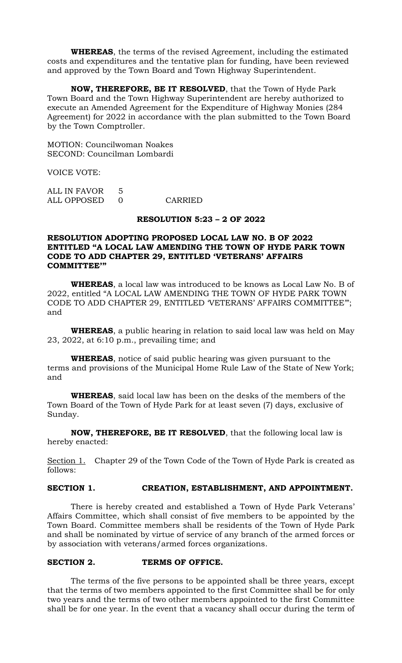**WHEREAS**, the terms of the revised Agreement, including the estimated costs and expenditures and the tentative plan for funding, have been reviewed and approved by the Town Board and Town Highway Superintendent.

**NOW, THEREFORE, BE IT RESOLVED**, that the Town of Hyde Park Town Board and the Town Highway Superintendent are hereby authorized to execute an Amended Agreement for the Expenditure of Highway Monies (284 Agreement) for 2022 in accordance with the plan submitted to the Town Board by the Town Comptroller.

MOTION: Councilwoman Noakes SECOND: Councilman Lombardi

VOICE VOTE:

| ALL IN FAVOR 5 |         |
|----------------|---------|
| ALL OPPOSED 0  | CARRIED |

## **RESOLUTION 5:23 – 2 OF 2022**

## **RESOLUTION ADOPTING PROPOSED LOCAL LAW NO. B OF 2022 ENTITLED "A LOCAL LAW AMENDING THE TOWN OF HYDE PARK TOWN CODE TO ADD CHAPTER 29, ENTITLED 'VETERANS' AFFAIRS COMMITTEE'"**

**WHEREAS**, a local law was introduced to be knows as Local Law No. B of 2022, entitled "A LOCAL LAW AMENDING THE TOWN OF HYDE PARK TOWN CODE TO ADD CHAPTER 29, ENTITLED 'VETERANS' AFFAIRS COMMITTEE'"; and

**WHEREAS**, a public hearing in relation to said local law was held on May 23, 2022, at 6:10 p.m., prevailing time; and

**WHEREAS**, notice of said public hearing was given pursuant to the terms and provisions of the Municipal Home Rule Law of the State of New York; and

**WHEREAS**, said local law has been on the desks of the members of the Town Board of the Town of Hyde Park for at least seven (7) days, exclusive of Sunday.

**NOW, THEREFORE, BE IT RESOLVED**, that the following local law is hereby enacted:

Section 1. Chapter 29 of the Town Code of the Town of Hyde Park is created as follows:

## **SECTION 1. CREATION, ESTABLISHMENT, AND APPOINTMENT.**

There is hereby created and established a Town of Hyde Park Veterans' Affairs Committee, which shall consist of five members to be appointed by the Town Board. Committee members shall be residents of the Town of Hyde Park and shall be nominated by virtue of service of any branch of the armed forces or by association with veterans/armed forces organizations.

### **SECTION 2. TERMS OF OFFICE.**

The terms of the five persons to be appointed shall be three years, except that the terms of two members appointed to the first Committee shall be for only two years and the terms of two other members appointed to the first Committee shall be for one year. In the event that a vacancy shall occur during the term of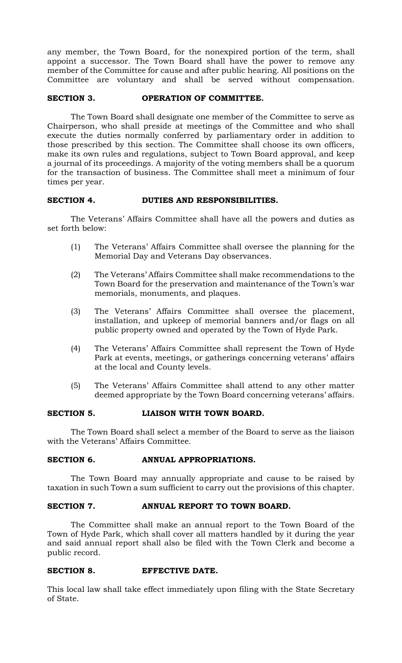any member, the Town Board, for the nonexpired portion of the term, shall appoint a successor. The Town Board shall have the power to remove any member of the Committee for cause and after public hearing. All positions on the Committee are voluntary and shall be served without compensation.

## **SECTION 3. OPERATION OF COMMITTEE.**

The Town Board shall designate one member of the Committee to serve as Chairperson, who shall preside at meetings of the Committee and who shall execute the duties normally conferred by parliamentary order in addition to those prescribed by this section. The Committee shall choose its own officers, make its own rules and regulations, subject to Town Board approval, and keep a journal of its proceedings. A majority of the voting members shall be a quorum for the transaction of business. The Committee shall meet a minimum of four times per year.

## **SECTION 4. DUTIES AND RESPONSIBILITIES.**

The Veterans' Affairs Committee shall have all the powers and duties as set forth below:

- (1) The Veterans' Affairs Committee shall oversee the planning for the Memorial Day and Veterans Day observances.
- (2) The Veterans' Affairs Committee shall make recommendations to the Town Board for the preservation and maintenance of the Town's war memorials, monuments, and plaques.
- (3) The Veterans' Affairs Committee shall oversee the placement, installation, and upkeep of memorial banners and/or flags on all public property owned and operated by the Town of Hyde Park.
- (4) The Veterans' Affairs Committee shall represent the Town of Hyde Park at events, meetings, or gatherings concerning veterans' affairs at the local and County levels.
- (5) The Veterans' Affairs Committee shall attend to any other matter deemed appropriate by the Town Board concerning veterans' affairs.

## **SECTION 5. LIAISON WITH TOWN BOARD.**

The Town Board shall select a member of the Board to serve as the liaison with the Veterans' Affairs Committee.

## **SECTION 6. ANNUAL APPROPRIATIONS.**

The Town Board may annually appropriate and cause to be raised by taxation in such Town a sum sufficient to carry out the provisions of this chapter.

## **SECTION 7. ANNUAL REPORT TO TOWN BOARD.**

The Committee shall make an annual report to the Town Board of the Town of Hyde Park, which shall cover all matters handled by it during the year and said annual report shall also be filed with the Town Clerk and become a public record.

## **SECTION 8. EFFECTIVE DATE.**

This local law shall take effect immediately upon filing with the State Secretary of State.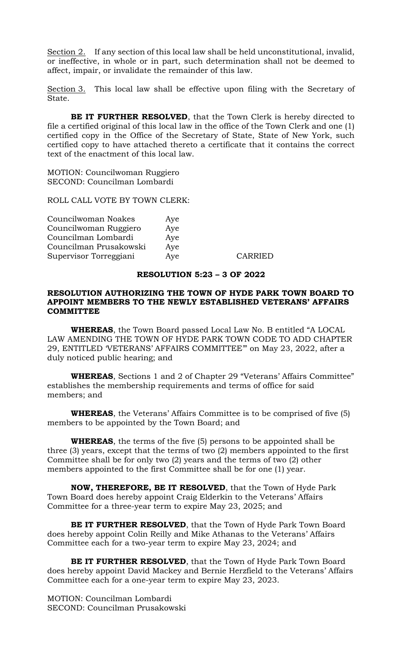Section 2. If any section of this local law shall be held unconstitutional, invalid, or ineffective, in whole or in part, such determination shall not be deemed to affect, impair, or invalidate the remainder of this law.

Section 3. This local law shall be effective upon filing with the Secretary of State.

**BE IT FURTHER RESOLVED**, that the Town Clerk is hereby directed to file a certified original of this local law in the office of the Town Clerk and one (1) certified copy in the Office of the Secretary of State, State of New York, such certified copy to have attached thereto a certificate that it contains the correct text of the enactment of this local law.

MOTION: Councilwoman Ruggiero SECOND: Councilman Lombardi

ROLL CALL VOTE BY TOWN CLERK:

| Councilwoman Noakes    | Aye |  |
|------------------------|-----|--|
| Councilwoman Ruggiero  | Aye |  |
| Councilman Lombardi    | Aye |  |
| Councilman Prusakowski | Aye |  |
| Supervisor Torreggiani | Aye |  |

# **RESOLUTION 5:23 – 3 OF 2022**

CARRIED

## **RESOLUTION AUTHORIZING THE TOWN OF HYDE PARK TOWN BOARD TO APPOINT MEMBERS TO THE NEWLY ESTABLISHED VETERANS' AFFAIRS COMMITTEE**

**WHEREAS**, the Town Board passed Local Law No. B entitled "A LOCAL LAW AMENDING THE TOWN OF HYDE PARK TOWN CODE TO ADD CHAPTER 29, ENTITLED 'VETERANS' AFFAIRS COMMITTEE'" on May 23, 2022, after a duly noticed public hearing; and

**WHEREAS**, Sections 1 and 2 of Chapter 29 "Veterans' Affairs Committee" establishes the membership requirements and terms of office for said members; and

**WHEREAS**, the Veterans' Affairs Committee is to be comprised of five (5) members to be appointed by the Town Board; and

**WHEREAS**, the terms of the five (5) persons to be appointed shall be three (3) years, except that the terms of two (2) members appointed to the first Committee shall be for only two (2) years and the terms of two (2) other members appointed to the first Committee shall be for one (1) year.

**NOW, THEREFORE, BE IT RESOLVED**, that the Town of Hyde Park Town Board does hereby appoint Craig Elderkin to the Veterans' Affairs Committee for a three-year term to expire May 23, 2025; and

**BE IT FURTHER RESOLVED**, that the Town of Hyde Park Town Board does hereby appoint Colin Reilly and Mike Athanas to the Veterans' Affairs Committee each for a two-year term to expire May 23, 2024; and

**BE IT FURTHER RESOLVED**, that the Town of Hyde Park Town Board does hereby appoint David Mackey and Bernie Herzfield to the Veterans' Affairs Committee each for a one-year term to expire May 23, 2023.

MOTION: Councilman Lombardi SECOND: Councilman Prusakowski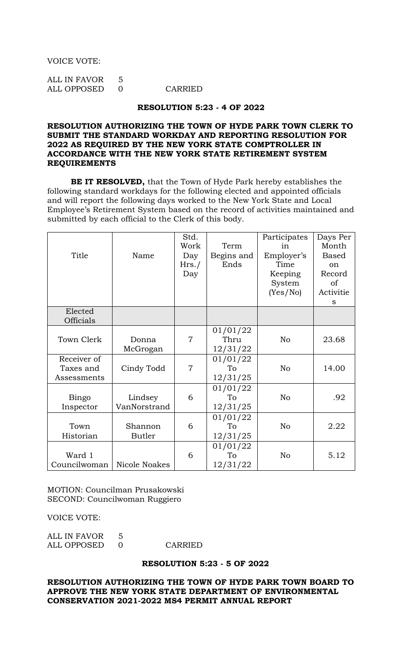VOICE VOTE:

ALL IN FAVOR 5 ALL OPPOSED 0 CARRIED

#### **RESOLUTION 5:23 - 4 OF 2022**

## **RESOLUTION AUTHORIZING THE TOWN OF HYDE PARK TOWN CLERK TO SUBMIT THE STANDARD WORKDAY AND REPORTING RESOLUTION FOR 2022 AS REQUIRED BY THE NEW YORK STATE COMPTROLLER IN ACCORDANCE WITH THE NEW YORK STATE RETIREMENT SYSTEM REQUIREMENTS**

**BE IT RESOLVED,** that the Town of Hyde Park hereby establishes the following standard workdays for the following elected and appointed officials and will report the following days worked to the New York State and Local Employee's Retirement System based on the record of activities maintained and submitted by each official to the Clerk of this body.

| Title                                   | Name                     | Std.<br>Work<br>Day<br>Hrs./<br>Day | Term<br>Begins and<br>Ends   | Participates<br>in<br>Employer's<br>Time<br>Keeping<br>System<br>(Yes/No) | Days Per<br>Month<br><b>Based</b><br><sub>on</sub><br>Record<br>of<br>Activitie<br>S |
|-----------------------------------------|--------------------------|-------------------------------------|------------------------------|---------------------------------------------------------------------------|--------------------------------------------------------------------------------------|
| Elected<br>Officials                    |                          |                                     |                              |                                                                           |                                                                                      |
| Town Clerk                              | Donna<br>McGrogan        | $\overline{7}$                      | 01/01/22<br>Thru<br>12/31/22 | N <sub>o</sub>                                                            | 23.68                                                                                |
| Receiver of<br>Taxes and<br>Assessments | Cindy Todd               | $\overline{7}$                      | 01/01/22<br>To<br>12/31/25   | N <sub>o</sub>                                                            | 14.00                                                                                |
| <b>Bingo</b><br>Inspector               | Lindsey<br>VanNorstrand  | 6                                   | 01/01/22<br>To<br>12/31/25   | N <sub>o</sub>                                                            | .92                                                                                  |
| Town<br>Historian                       | Shannon<br><b>Butler</b> | 6                                   | 01/01/22<br>To<br>12/31/25   | N <sub>o</sub>                                                            | 2.22                                                                                 |
| Ward 1<br>Councilwoman                  | Nicole Noakes            | 6                                   | 01/01/22<br>To<br>12/31/22   | N <sub>o</sub>                                                            | 5.12                                                                                 |

MOTION: Councilman Prusakowski SECOND: Councilwoman Ruggiero

VOICE VOTE:

| ALL IN FAVOR       | 5 |  |
|--------------------|---|--|
| <b>ALL OPPOSED</b> |   |  |

**CARRIED** 

#### **RESOLUTION 5:23 - 5 OF 2022**

**RESOLUTION AUTHORIZING THE TOWN OF HYDE PARK TOWN BOARD TO APPROVE THE NEW YORK STATE DEPARTMENT OF ENVIRONMENTAL CONSERVATION 2021-2022 MS4 PERMIT ANNUAL REPORT**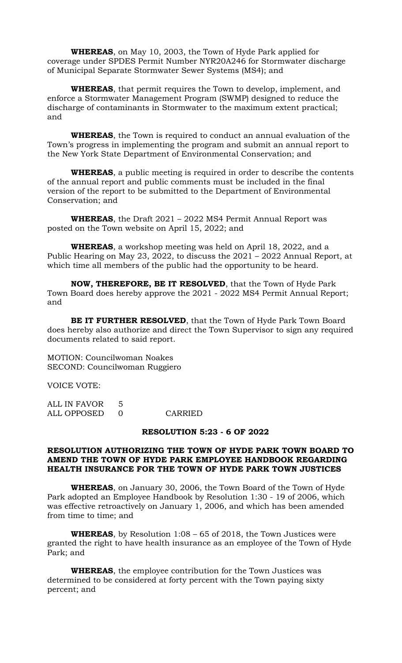**WHEREAS**, on May 10, 2003, the Town of Hyde Park applied for coverage under SPDES Permit Number NYR20A246 for Stormwater discharge of Municipal Separate Stormwater Sewer Systems (MS4); and

**WHEREAS**, that permit requires the Town to develop, implement, and enforce a Stormwater Management Program (SWMP) designed to reduce the discharge of contaminants in Stormwater to the maximum extent practical; and

**WHEREAS**, the Town is required to conduct an annual evaluation of the Town's progress in implementing the program and submit an annual report to the New York State Department of Environmental Conservation; and

**WHEREAS**, a public meeting is required in order to describe the contents of the annual report and public comments must be included in the final version of the report to be submitted to the Department of Environmental Conservation; and

**WHEREAS**, the Draft 2021 – 2022 MS4 Permit Annual Report was posted on the Town website on April 15, 2022; and

**WHEREAS**, a workshop meeting was held on April 18, 2022, and a Public Hearing on May 23, 2022, to discuss the 2021 – 2022 Annual Report, at which time all members of the public had the opportunity to be heard.

**NOW, THEREFORE, BE IT RESOLVED**, that the Town of Hyde Park Town Board does hereby approve the 2021 - 2022 MS4 Permit Annual Report; and

**BE IT FURTHER RESOLVED**, that the Town of Hyde Park Town Board does hereby also authorize and direct the Town Supervisor to sign any required documents related to said report.

MOTION: Councilwoman Noakes SECOND: Councilwoman Ruggiero

VOICE VOTE:

ALL IN FAVOR 5 ALL OPPOSED 0 CARRIED

#### **RESOLUTION 5:23 - 6 OF 2022**

## **RESOLUTION AUTHORIZING THE TOWN OF HYDE PARK TOWN BOARD TO AMEND THE TOWN OF HYDE PARK EMPLOYEE HANDBOOK REGARDING HEALTH INSURANCE FOR THE TOWN OF HYDE PARK TOWN JUSTICES**

**WHEREAS**, on January 30, 2006, the Town Board of the Town of Hyde Park adopted an Employee Handbook by Resolution 1:30 - 19 of 2006, which was effective retroactively on January 1, 2006, and which has been amended from time to time; and

**WHEREAS**, by Resolution 1:08 – 65 of 2018, the Town Justices were granted the right to have health insurance as an employee of the Town of Hyde Park; and

**WHEREAS**, the employee contribution for the Town Justices was determined to be considered at forty percent with the Town paying sixty percent; and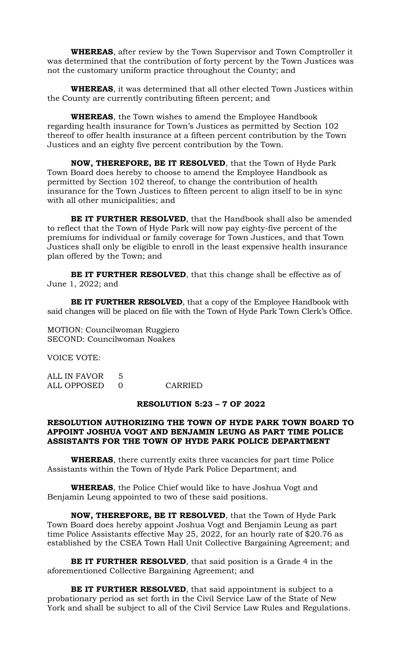**WHEREAS**, after review by the Town Supervisor and Town Comptroller it was determined that the contribution of forty percent by the Town Justices was not the customary uniform practice throughout the County; and

**WHEREAS**, it was determined that all other elected Town Justices within the County are currently contributing fifteen percent; and

**WHEREAS**, the Town wishes to amend the Employee Handbook regarding health insurance for Town's Justices as permitted by Section 102 thereof to offer health insurance at a fifteen percent contribution by the Town Justices and an eighty five percent contribution by the Town.

**NOW, THEREFORE, BE IT RESOLVED**, that the Town of Hyde Park Town Board does hereby to choose to amend the Employee Handbook as permitted by Section 102 thereof, to change the contribution of health insurance for the Town Justices to fifteen percent to align itself to be in sync with all other municipalities; and

**BE IT FURTHER RESOLVED**, that the Handbook shall also be amended to reflect that the Town of Hyde Park will now pay eighty-five percent of the premiums for individual or family coverage for Town Justices, and that Town Justices shall only be eligible to enroll in the least expensive health insurance plan offered by the Town; and

**BE IT FURTHER RESOLVED**, that this change shall be effective as of June 1, 2022; and

**BE IT FURTHER RESOLVED**, that a copy of the Employee Handbook with said changes will be placed on file with the Town of Hyde Park Town Clerk's Office.

MOTION: Councilwoman Ruggiero SECOND: Councilwoman Noakes

VOICE VOTE:

ALL IN FAVOR 5 ALL OPPOSED 0 CARRIED

#### **RESOLUTION 5:23 – 7 OF 2022**

## **RESOLUTION AUTHORIZING THE TOWN OF HYDE PARK TOWN BOARD TO APPOINT JOSHUA VOGT AND BENJAMIN LEUNG AS PART TIME POLICE ASSISTANTS FOR THE TOWN OF HYDE PARK POLICE DEPARTMENT**

**WHEREAS**, there currently exits three vacancies for part time Police Assistants within the Town of Hyde Park Police Department; and

**WHEREAS**, the Police Chief would like to have Joshua Vogt and Benjamin Leung appointed to two of these said positions.

**NOW, THEREFORE, BE IT RESOLVED**, that the Town of Hyde Park Town Board does hereby appoint Joshua Vogt and Benjamin Leung as part time Police Assistants effective May 25, 2022, for an hourly rate of \$20.76 as established by the CSEA Town Hall Unit Collective Bargaining Agreement; and

**BE IT FURTHER RESOLVED**, that said position is a Grade 4 in the aforementioned Collective Bargaining Agreement; and

**BE IT FURTHER RESOLVED**, that said appointment is subject to a probationary period as set forth in the Civil Service Law of the State of New York and shall be subject to all of the Civil Service Law Rules and Regulations.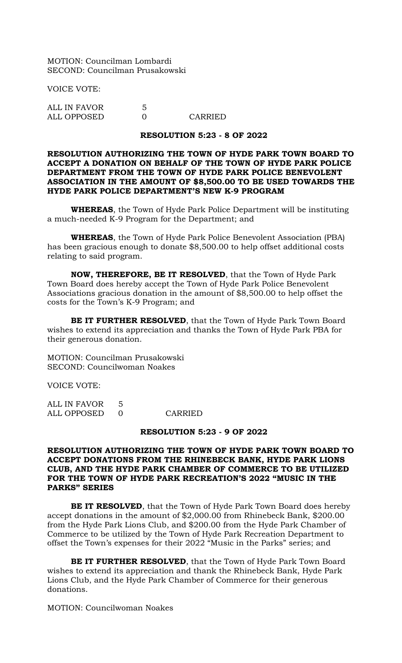MOTION: Councilman Lombardi SECOND: Councilman Prusakowski

VOICE VOTE:

| ALL IN FAVOR |         |
|--------------|---------|
| ALL OPPOSED  | CARRIED |

#### **RESOLUTION 5:23 - 8 OF 2022**

## **RESOLUTION AUTHORIZING THE TOWN OF HYDE PARK TOWN BOARD TO ACCEPT A DONATION ON BEHALF OF THE TOWN OF HYDE PARK POLICE DEPARTMENT FROM THE TOWN OF HYDE PARK POLICE BENEVOLENT ASSOCIATION IN THE AMOUNT OF \$8,500.00 TO BE USED TOWARDS THE HYDE PARK POLICE DEPARTMENT'S NEW K-9 PROGRAM**

**WHEREAS**, the Town of Hyde Park Police Department will be instituting a much-needed K-9 Program for the Department; and

**WHEREAS**, the Town of Hyde Park Police Benevolent Association (PBA) has been gracious enough to donate \$8,500.00 to help offset additional costs relating to said program.

**NOW, THEREFORE, BE IT RESOLVED**, that the Town of Hyde Park Town Board does hereby accept the Town of Hyde Park Police Benevolent Associations gracious donation in the amount of \$8,500.00 to help offset the costs for the Town's K-9 Program; and

**BE IT FURTHER RESOLVED**, that the Town of Hyde Park Town Board wishes to extend its appreciation and thanks the Town of Hyde Park PBA for their generous donation.

MOTION: Councilman Prusakowski SECOND: Councilwoman Noakes

VOICE VOTE:

ALL IN FAVOR 5 ALL OPPOSED 0 CARRIED

#### **RESOLUTION 5:23 - 9 OF 2022**

## **RESOLUTION AUTHORIZING THE TOWN OF HYDE PARK TOWN BOARD TO ACCEPT DONATIONS FROM THE RHINEBECK BANK, HYDE PARK LIONS CLUB, AND THE HYDE PARK CHAMBER OF COMMERCE TO BE UTILIZED FOR THE TOWN OF HYDE PARK RECREATION'S 2022 "MUSIC IN THE PARKS" SERIES**

**BE IT RESOLVED**, that the Town of Hyde Park Town Board does hereby accept donations in the amount of \$2,000.00 from Rhinebeck Bank, \$200.00 from the Hyde Park Lions Club, and \$200.00 from the Hyde Park Chamber of Commerce to be utilized by the Town of Hyde Park Recreation Department to offset the Town's expenses for their 2022 "Music in the Parks" series; and

**BE IT FURTHER RESOLVED**, that the Town of Hyde Park Town Board wishes to extend its appreciation and thank the Rhinebeck Bank, Hyde Park Lions Club, and the Hyde Park Chamber of Commerce for their generous donations.

MOTION: Councilwoman Noakes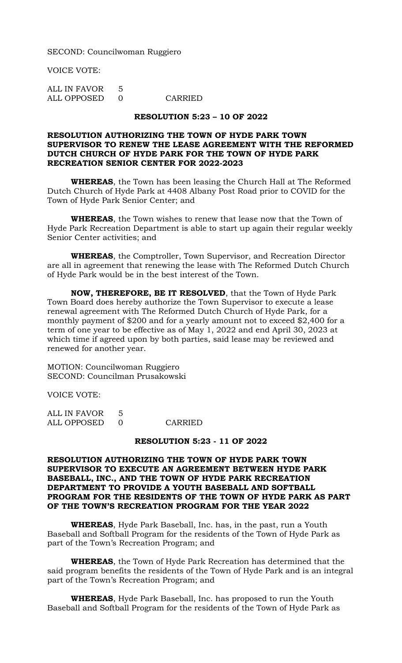SECOND: Councilwoman Ruggiero

VOICE VOTE:

| ALL IN FAVOR | .5       |  |
|--------------|----------|--|
| ALL OPPOSED  | $\Omega$ |  |

# **RESOLUTION 5:23 – 10 OF 2022**

CARRIED

## **RESOLUTION AUTHORIZING THE TOWN OF HYDE PARK TOWN SUPERVISOR TO RENEW THE LEASE AGREEMENT WITH THE REFORMED DUTCH CHURCH OF HYDE PARK FOR THE TOWN OF HYDE PARK RECREATION SENIOR CENTER FOR 2022-2023**

**WHEREAS**, the Town has been leasing the Church Hall at The Reformed Dutch Church of Hyde Park at 4408 Albany Post Road prior to COVID for the Town of Hyde Park Senior Center; and

**WHEREAS**, the Town wishes to renew that lease now that the Town of Hyde Park Recreation Department is able to start up again their regular weekly Senior Center activities; and

**WHEREAS**, the Comptroller, Town Supervisor, and Recreation Director are all in agreement that renewing the lease with The Reformed Dutch Church of Hyde Park would be in the best interest of the Town.

**NOW, THEREFORE, BE IT RESOLVED**, that the Town of Hyde Park Town Board does hereby authorize the Town Supervisor to execute a lease renewal agreement with The Reformed Dutch Church of Hyde Park, for a monthly payment of \$200 and for a yearly amount not to exceed \$2,400 for a term of one year to be effective as of May 1, 2022 and end April 30, 2023 at which time if agreed upon by both parties, said lease may be reviewed and renewed for another year.

MOTION: Councilwoman Ruggiero SECOND: Councilman Prusakowski

VOICE VOTE:

ALL IN FAVOR 5 ALL OPPOSED 0 CARRIED

#### **RESOLUTION 5:23 - 11 OF 2022**

## **RESOLUTION AUTHORIZING THE TOWN OF HYDE PARK TOWN SUPERVISOR TO EXECUTE AN AGREEMENT BETWEEN HYDE PARK BASEBALL, INC., AND THE TOWN OF HYDE PARK RECREATION DEPARTMENT TO PROVIDE A YOUTH BASEBALL AND SOFTBALL PROGRAM FOR THE RESIDENTS OF THE TOWN OF HYDE PARK AS PART OF THE TOWN'S RECREATION PROGRAM FOR THE YEAR 2022**

**WHEREAS**, Hyde Park Baseball, Inc. has, in the past, run a Youth Baseball and Softball Program for the residents of the Town of Hyde Park as part of the Town's Recreation Program; and

**WHEREAS**, the Town of Hyde Park Recreation has determined that the said program benefits the residents of the Town of Hyde Park and is an integral part of the Town's Recreation Program; and

**WHEREAS**, Hyde Park Baseball, Inc. has proposed to run the Youth Baseball and Softball Program for the residents of the Town of Hyde Park as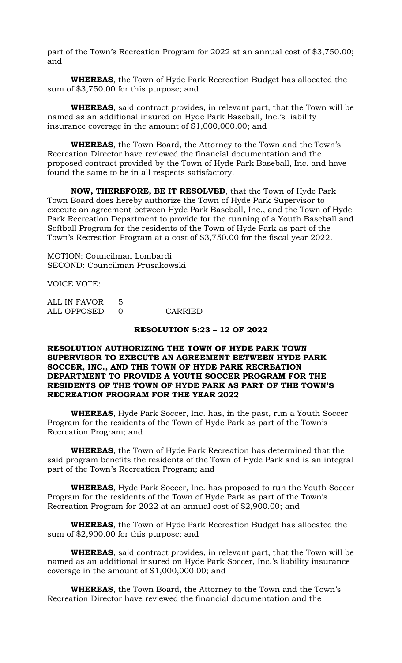part of the Town's Recreation Program for 2022 at an annual cost of \$3,750.00; and

**WHEREAS**, the Town of Hyde Park Recreation Budget has allocated the sum of \$3,750.00 for this purpose; and

**WHEREAS**, said contract provides, in relevant part, that the Town will be named as an additional insured on Hyde Park Baseball, Inc.'s liability insurance coverage in the amount of \$1,000,000.00; and

**WHEREAS**, the Town Board, the Attorney to the Town and the Town's Recreation Director have reviewed the financial documentation and the proposed contract provided by the Town of Hyde Park Baseball, Inc. and have found the same to be in all respects satisfactory.

**NOW, THEREFORE, BE IT RESOLVED**, that the Town of Hyde Park Town Board does hereby authorize the Town of Hyde Park Supervisor to execute an agreement between Hyde Park Baseball, Inc., and the Town of Hyde Park Recreation Department to provide for the running of a Youth Baseball and Softball Program for the residents of the Town of Hyde Park as part of the Town's Recreation Program at a cost of \$3,750.00 for the fiscal year 2022.

MOTION: Councilman Lombardi SECOND: Councilman Prusakowski

VOICE VOTE:

| ALL IN FAVOR |         |
|--------------|---------|
| ALL OPPOSED  | CARRIED |

## **RESOLUTION 5:23 – 12 OF 2022**

## **RESOLUTION AUTHORIZING THE TOWN OF HYDE PARK TOWN SUPERVISOR TO EXECUTE AN AGREEMENT BETWEEN HYDE PARK SOCCER, INC., AND THE TOWN OF HYDE PARK RECREATION DEPARTMENT TO PROVIDE A YOUTH SOCCER PROGRAM FOR THE RESIDENTS OF THE TOWN OF HYDE PARK AS PART OF THE TOWN'S RECREATION PROGRAM FOR THE YEAR 2022**

**WHEREAS**, Hyde Park Soccer, Inc. has, in the past, run a Youth Soccer Program for the residents of the Town of Hyde Park as part of the Town's Recreation Program; and

**WHEREAS**, the Town of Hyde Park Recreation has determined that the said program benefits the residents of the Town of Hyde Park and is an integral part of the Town's Recreation Program; and

**WHEREAS**, Hyde Park Soccer, Inc. has proposed to run the Youth Soccer Program for the residents of the Town of Hyde Park as part of the Town's Recreation Program for 2022 at an annual cost of \$2,900.00; and

**WHEREAS**, the Town of Hyde Park Recreation Budget has allocated the sum of \$2,900.00 for this purpose; and

**WHEREAS**, said contract provides, in relevant part, that the Town will be named as an additional insured on Hyde Park Soccer, Inc.'s liability insurance coverage in the amount of \$1,000,000.00; and

**WHEREAS**, the Town Board, the Attorney to the Town and the Town's Recreation Director have reviewed the financial documentation and the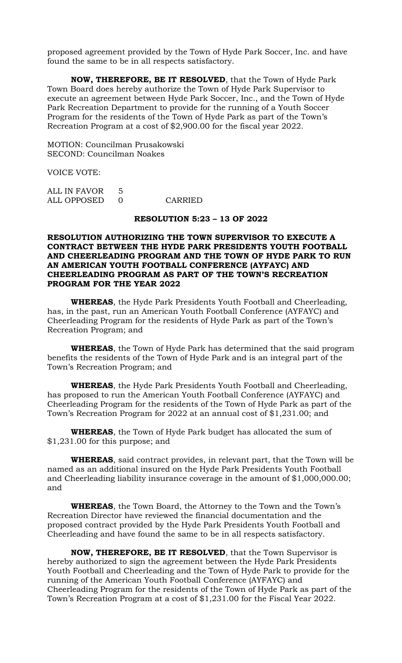proposed agreement provided by the Town of Hyde Park Soccer, Inc. and have found the same to be in all respects satisfactory.

**NOW, THEREFORE, BE IT RESOLVED**, that the Town of Hyde Park Town Board does hereby authorize the Town of Hyde Park Supervisor to execute an agreement between Hyde Park Soccer, Inc., and the Town of Hyde Park Recreation Department to provide for the running of a Youth Soccer Program for the residents of the Town of Hyde Park as part of the Town's Recreation Program at a cost of \$2,900.00 for the fiscal year 2022.

MOTION: Councilman Prusakowski SECOND: Councilman Noakes

VOICE VOTE:

| ALL IN FAVOR |         |
|--------------|---------|
| ALL OPPOSED  | CARRIED |

### **RESOLUTION 5:23 – 13 OF 2022**

## **RESOLUTION AUTHORIZING THE TOWN SUPERVISOR TO EXECUTE A CONTRACT BETWEEN THE HYDE PARK PRESIDENTS YOUTH FOOTBALL AND CHEERLEADING PROGRAM AND THE TOWN OF HYDE PARK TO RUN AN AMERICAN YOUTH FOOTBALL CONFERENCE (AYFAYC) AND CHEERLEADING PROGRAM AS PART OF THE TOWN'S RECREATION PROGRAM FOR THE YEAR 2022**

**WHEREAS**, the Hyde Park Presidents Youth Football and Cheerleading, has, in the past, run an American Youth Football Conference (AYFAYC) and Cheerleading Program for the residents of Hyde Park as part of the Town's Recreation Program; and

**WHEREAS**, the Town of Hyde Park has determined that the said program benefits the residents of the Town of Hyde Park and is an integral part of the Town's Recreation Program; and

**WHEREAS**, the Hyde Park Presidents Youth Football and Cheerleading, has proposed to run the American Youth Football Conference (AYFAYC) and Cheerleading Program for the residents of the Town of Hyde Park as part of the Town's Recreation Program for 2022 at an annual cost of \$1,231.00; and

**WHEREAS**, the Town of Hyde Park budget has allocated the sum of \$1,231.00 for this purpose; and

**WHEREAS**, said contract provides, in relevant part, that the Town will be named as an additional insured on the Hyde Park Presidents Youth Football and Cheerleading liability insurance coverage in the amount of \$1,000,000.00; and

**WHEREAS**, the Town Board, the Attorney to the Town and the Town's Recreation Director have reviewed the financial documentation and the proposed contract provided by the Hyde Park Presidents Youth Football and Cheerleading and have found the same to be in all respects satisfactory.

**NOW, THEREFORE, BE IT RESOLVED**, that the Town Supervisor is hereby authorized to sign the agreement between the Hyde Park Presidents Youth Football and Cheerleading and the Town of Hyde Park to provide for the running of the American Youth Football Conference (AYFAYC) and Cheerleading Program for the residents of the Town of Hyde Park as part of the Town's Recreation Program at a cost of \$1,231.00 for the Fiscal Year 2022.